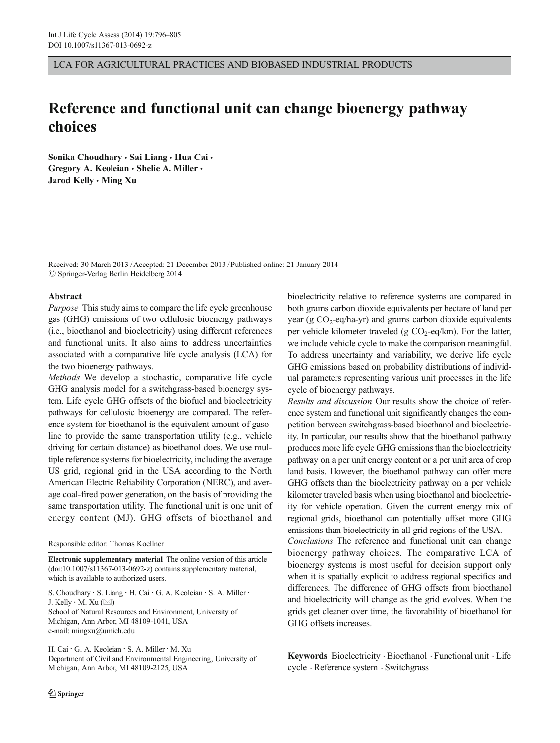LCA FOR AGRICULTURAL PRACTICES AND BIOBASED INDUSTRIAL PRODUCTS

# Reference and functional unit can change bioenergy pathway choices

Sonika Choudhary · Sai Liang · Hua Cai · Gregory A. Keoleian · Shelie A. Miller · Jarod Kelly · Ming Xu

Received: 30 March 2013 /Accepted: 21 December 2013 /Published online: 21 January 2014  $\oslash$  Springer-Verlag Berlin Heidelberg 2014

## Abstract

Purpose This study aims to compare the life cycle greenhouse gas (GHG) emissions of two cellulosic bioenergy pathways (i.e., bioethanol and bioelectricity) using different references and functional units. It also aims to address uncertainties associated with a comparative life cycle analysis (LCA) for the two bioenergy pathways.

Methods We develop a stochastic, comparative life cycle GHG analysis model for a switchgrass-based bioenergy system. Life cycle GHG offsets of the biofuel and bioelectricity pathways for cellulosic bioenergy are compared. The reference system for bioethanol is the equivalent amount of gasoline to provide the same transportation utility (e.g., vehicle driving for certain distance) as bioethanol does. We use multiple reference systems for bioelectricity, including the average US grid, regional grid in the USA according to the North American Electric Reliability Corporation (NERC), and average coal-fired power generation, on the basis of providing the same transportation utility. The functional unit is one unit of energy content (MJ). GHG offsets of bioethanol and

Responsible editor: Thomas Koellner

Electronic supplementary material The online version of this article (doi[:10.1007/s11367-013-0692-z](http://dx.doi.org/10.1007/s11367-013-0692-z)) contains supplementary material, which is available to authorized users.

S. Choudhary : S. Liang : H. Cai : G. A. Keoleian : S. A. Miller : J. Kelly  $\cdot$  M. Xu ( $\boxtimes$ ) School of Natural Resources and Environment, University of Michigan, Ann Arbor, MI 48109-1041, USA e-mail: mingxu@umich.edu

H. Cai : G. A. Keoleian : S. A. Miller : M. Xu Department of Civil and Environmental Engineering, University of Michigan, Ann Arbor, MI 48109-2125, USA

bioelectricity relative to reference systems are compared in both grams carbon dioxide equivalents per hectare of land per year (g  $CO_2$ -eq/ha-yr) and grams carbon dioxide equivalents per vehicle kilometer traveled (g  $CO_2$ -eq/km). For the latter, we include vehicle cycle to make the comparison meaningful. To address uncertainty and variability, we derive life cycle GHG emissions based on probability distributions of individual parameters representing various unit processes in the life cycle of bioenergy pathways.

Results and discussion Our results show the choice of reference system and functional unit significantly changes the competition between switchgrass-based bioethanol and bioelectricity. In particular, our results show that the bioethanol pathway produces more life cycle GHG emissions than the bioelectricity pathway on a per unit energy content or a per unit area of crop land basis. However, the bioethanol pathway can offer more GHG offsets than the bioelectricity pathway on a per vehicle kilometer traveled basis when using bioethanol and bioelectricity for vehicle operation. Given the current energy mix of regional grids, bioethanol can potentially offset more GHG emissions than bioelectricity in all grid regions of the USA.

Conclusions The reference and functional unit can change bioenergy pathway choices. The comparative LCA of bioenergy systems is most useful for decision support only when it is spatially explicit to address regional specifics and differences. The difference of GHG offsets from bioethanol and bioelectricity will change as the grid evolves. When the grids get cleaner over time, the favorability of bioethanol for GHG offsets increases.

Keywords Bioelectricity . Bioethanol . Functional unit . Life cycle . Reference system . Switchgrass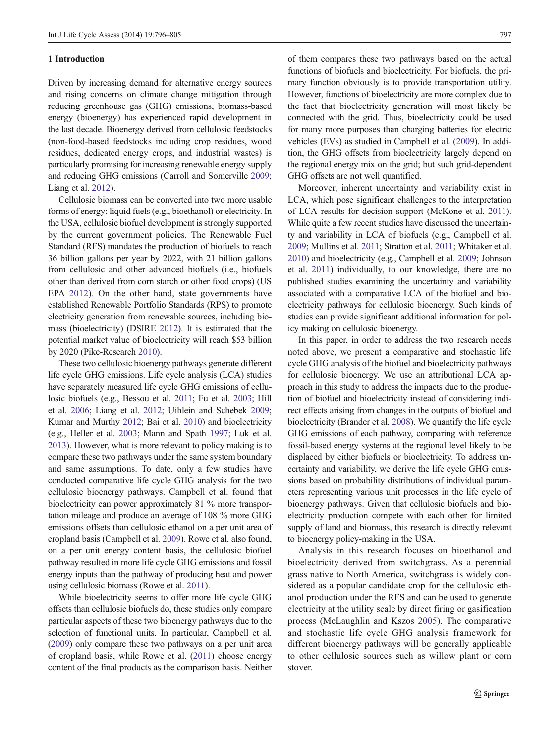## 1 Introduction

Driven by increasing demand for alternative energy sources and rising concerns on climate change mitigation through reducing greenhouse gas (GHG) emissions, biomass-based energy (bioenergy) has experienced rapid development in the last decade. Bioenergy derived from cellulosic feedstocks (non-food-based feedstocks including crop residues, wood residues, dedicated energy crops, and industrial wastes) is particularly promising for increasing renewable energy supply and reducing GHG emissions (Carroll and Somerville [2009](#page-8-0); Liang et al. [2012](#page-9-0)).

Cellulosic biomass can be converted into two more usable forms of energy: liquid fuels (e.g., bioethanol) or electricity. In the USA, cellulosic biofuel development is strongly supported by the current government policies. The Renewable Fuel Standard (RFS) mandates the production of biofuels to reach 36 billion gallons per year by 2022, with 21 billion gallons from cellulosic and other advanced biofuels (i.e., biofuels other than derived from corn starch or other food crops) (US EPA [2012](#page-9-0)). On the other hand, state governments have established Renewable Portfolio Standards (RPS) to promote electricity generation from renewable sources, including biomass (bioelectricity) (DSIRE [2012](#page-8-0)). It is estimated that the potential market value of bioelectricity will reach \$53 billion by 2020 (Pike-Research [2010\)](#page-9-0).

These two cellulosic bioenergy pathways generate different life cycle GHG emissions. Life cycle analysis (LCA) studies have separately measured life cycle GHG emissions of cellulosic biofuels (e.g., Bessou et al. [2011;](#page-8-0) Fu et al. [2003;](#page-8-0) Hill et al. [2006;](#page-8-0) Liang et al. [2012](#page-9-0); Uihlein and Schebek [2009](#page-9-0); Kumar and Murthy [2012](#page-9-0); Bai et al. [2010\)](#page-8-0) and bioelectricity (e.g., Heller et al. [2003;](#page-8-0) Mann and Spath [1997;](#page-9-0) Luk et al. [2013\)](#page-9-0). However, what is more relevant to policy making is to compare these two pathways under the same system boundary and same assumptions. To date, only a few studies have conducted comparative life cycle GHG analysis for the two cellulosic bioenergy pathways. Campbell et al. found that bioelectricity can power approximately 81 % more transportation mileage and produce an average of 108 % more GHG emissions offsets than cellulosic ethanol on a per unit area of cropland basis (Campbell et al. [2009](#page-8-0)). Rowe et al. also found, on a per unit energy content basis, the cellulosic biofuel pathway resulted in more life cycle GHG emissions and fossil energy inputs than the pathway of producing heat and power using cellulosic biomass (Rowe et al. [2011\)](#page-9-0).

While bioelectricity seems to offer more life cycle GHG offsets than cellulosic biofuels do, these studies only compare particular aspects of these two bioenergy pathways due to the selection of functional units. In particular, Campbell et al. [\(2009\)](#page-8-0) only compare these two pathways on a per unit area of cropland basis, while Rowe et al. ([2011\)](#page-9-0) choose energy content of the final products as the comparison basis. Neither of them compares these two pathways based on the actual functions of biofuels and bioelectricity. For biofuels, the primary function obviously is to provide transportation utility. However, functions of bioelectricity are more complex due to the fact that bioelectricity generation will most likely be connected with the grid. Thus, bioelectricity could be used for many more purposes than charging batteries for electric vehicles (EVs) as studied in Campbell et al. [\(2009\)](#page-8-0). In addition, the GHG offsets from bioelectricity largely depend on the regional energy mix on the grid; but such grid-dependent GHG offsets are not well quantified.

Moreover, inherent uncertainty and variability exist in LCA, which pose significant challenges to the interpretation of LCA results for decision support (McKone et al. [2011\)](#page-9-0). While quite a few recent studies have discussed the uncertainty and variability in LCA of biofuels (e.g., Campbell et al. [2009;](#page-8-0) Mullins et al. [2011;](#page-9-0) Stratton et al. [2011](#page-9-0); Whitaker et al. [2010\)](#page-9-0) and bioelectricity (e.g., Campbell et al. [2009;](#page-8-0) Johnson et al. [2011](#page-9-0)) individually, to our knowledge, there are no published studies examining the uncertainty and variability associated with a comparative LCA of the biofuel and bioelectricity pathways for cellulosic bioenergy. Such kinds of studies can provide significant additional information for policy making on cellulosic bioenergy.

In this paper, in order to address the two research needs noted above, we present a comparative and stochastic life cycle GHG analysis of the biofuel and bioelectricity pathways for cellulosic bioenergy. We use an attributional LCA approach in this study to address the impacts due to the production of biofuel and bioelectricity instead of considering indirect effects arising from changes in the outputs of biofuel and bioelectricity (Brander et al. [2008\)](#page-8-0). We quantify the life cycle GHG emissions of each pathway, comparing with reference fossil-based energy systems at the regional level likely to be displaced by either biofuels or bioelectricity. To address uncertainty and variability, we derive the life cycle GHG emissions based on probability distributions of individual parameters representing various unit processes in the life cycle of bioenergy pathways. Given that cellulosic biofuels and bioelectricity production compete with each other for limited supply of land and biomass, this research is directly relevant to bioenergy policy-making in the USA.

Analysis in this research focuses on bioethanol and bioelectricity derived from switchgrass. As a perennial grass native to North America, switchgrass is widely considered as a popular candidate crop for the cellulosic ethanol production under the RFS and can be used to generate electricity at the utility scale by direct firing or gasification process (McLaughlin and Kszos [2005](#page-9-0)). The comparative and stochastic life cycle GHG analysis framework for different bioenergy pathways will be generally applicable to other cellulosic sources such as willow plant or corn stover.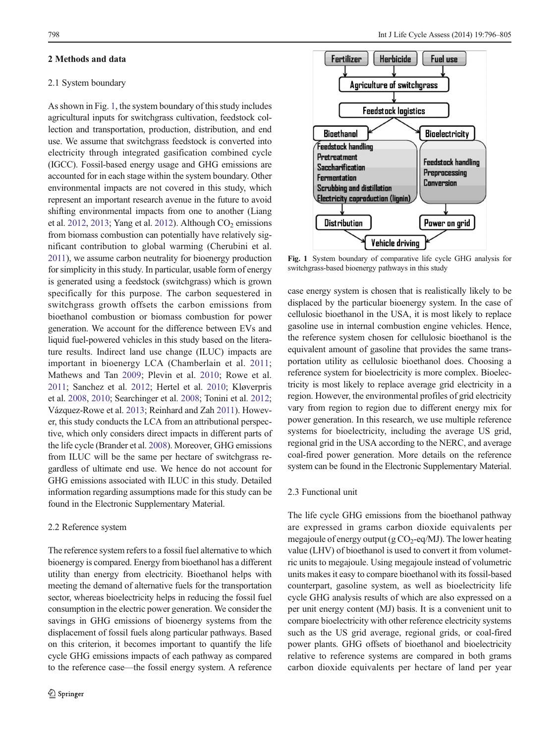## <span id="page-2-0"></span>2 Methods and data

## 2.1 System boundary

As shown in Fig. 1, the system boundary of this study includes agricultural inputs for switchgrass cultivation, feedstock collection and transportation, production, distribution, and end use. We assume that switchgrass feedstock is converted into electricity through integrated gasification combined cycle (IGCC). Fossil-based energy usage and GHG emissions are accounted for in each stage within the system boundary. Other environmental impacts are not covered in this study, which represent an important research avenue in the future to avoid shifting environmental impacts from one to another (Liang et al. [2012,](#page-9-0) [2013;](#page-9-0) Yang et al. [2012](#page-9-0)). Although  $CO<sub>2</sub>$  emissions from biomass combustion can potentially have relatively significant contribution to global warming (Cherubini et al. [2011](#page-8-0)), we assume carbon neutrality for bioenergy production for simplicity in this study. In particular, usable form of energy is generated using a feedstock (switchgrass) which is grown specifically for this purpose. The carbon sequestered in switchgrass growth offsets the carbon emissions from bioethanol combustion or biomass combustion for power generation. We account for the difference between EVs and liquid fuel-powered vehicles in this study based on the literature results. Indirect land use change (ILUC) impacts are important in bioenergy LCA (Chamberlain et al. [2011](#page-8-0); Mathews and Tan [2009](#page-9-0); Plevin et al. [2010](#page-9-0); Rowe et al. [2011;](#page-9-0) Sanchez et al. [2012;](#page-9-0) Hertel et al. [2010](#page-8-0); Kløverpris et al. [2008](#page-9-0), [2010;](#page-9-0) Searchinger et al. [2008](#page-9-0); Tonini et al. [2012](#page-9-0); Vázquez-Rowe et al. [2013;](#page-9-0) Reinhard and Zah [2011\)](#page-9-0). However, this study conducts the LCA from an attributional perspective, which only considers direct impacts in different parts of the life cycle (Brander et al. [2008\)](#page-8-0). Moreover, GHG emissions from ILUC will be the same per hectare of switchgrass regardless of ultimate end use. We hence do not account for GHG emissions associated with ILUC in this study. Detailed information regarding assumptions made for this study can be found in the Electronic Supplementary Material.

# 2.2 Reference system

The reference system refers to a fossil fuel alternative to which bioenergy is compared. Energy from bioethanol has a different utility than energy from electricity. Bioethanol helps with meeting the demand of alternative fuels for the transportation sector, whereas bioelectricity helps in reducing the fossil fuel consumption in the electric power generation. We consider the savings in GHG emissions of bioenergy systems from the displacement of fossil fuels along particular pathways. Based on this criterion, it becomes important to quantify the life cycle GHG emissions impacts of each pathway as compared to the reference case—the fossil energy system. A reference



Fig. 1 System boundary of comparative life cycle GHG analysis for switchgrass-based bioenergy pathways in this study

case energy system is chosen that is realistically likely to be displaced by the particular bioenergy system. In the case of cellulosic bioethanol in the USA, it is most likely to replace gasoline use in internal combustion engine vehicles. Hence, the reference system chosen for cellulosic bioethanol is the equivalent amount of gasoline that provides the same transportation utility as cellulosic bioethanol does. Choosing a reference system for bioelectricity is more complex. Bioelectricity is most likely to replace average grid electricity in a region. However, the environmental profiles of grid electricity vary from region to region due to different energy mix for power generation. In this research, we use multiple reference systems for bioelectricity, including the average US grid, regional grid in the USA according to the NERC, and average coal-fired power generation. More details on the reference system can be found in the Electronic Supplementary Material.

## 2.3 Functional unit

The life cycle GHG emissions from the bioethanol pathway are expressed in grams carbon dioxide equivalents per megajoule of energy output (g  $CO_2$ -eq/MJ). The lower heating value (LHV) of bioethanol is used to convert it from volumetric units to megajoule. Using megajoule instead of volumetric units makes it easy to compare bioethanol with its fossil-based counterpart, gasoline system, as well as bioelectricity life cycle GHG analysis results of which are also expressed on a per unit energy content (MJ) basis. It is a convenient unit to compare bioelectricity with other reference electricity systems such as the US grid average, regional grids, or coal-fired power plants. GHG offsets of bioethanol and bioelectricity relative to reference systems are compared in both grams carbon dioxide equivalents per hectare of land per year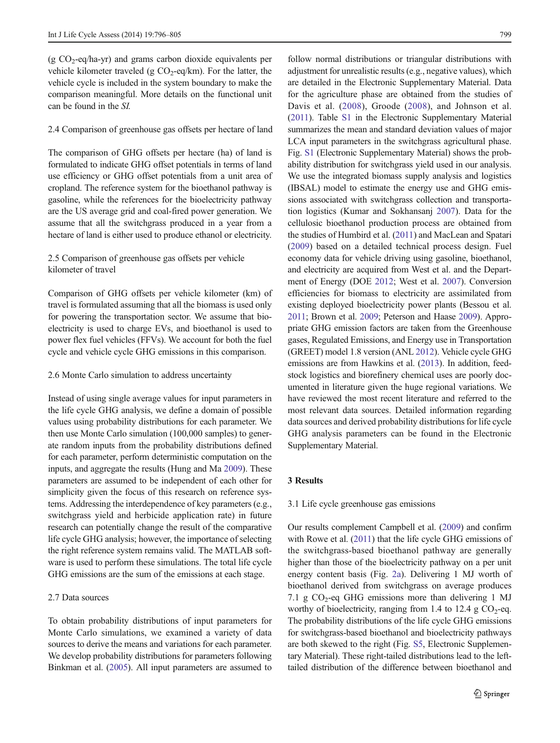(g  $CO<sub>2</sub>$ -eq/ha-yr) and grams carbon dioxide equivalents per vehicle kilometer traveled (g  $CO_2$ -eq/km). For the latter, the vehicle cycle is included in the system boundary to make the comparison meaningful. More details on the functional unit can be found in the SI.

## 2.4 Comparison of greenhouse gas offsets per hectare of land

The comparison of GHG offsets per hectare (ha) of land is formulated to indicate GHG offset potentials in terms of land use efficiency or GHG offset potentials from a unit area of cropland. The reference system for the bioethanol pathway is gasoline, while the references for the bioelectricity pathway are the US average grid and coal-fired power generation. We assume that all the switchgrass produced in a year from a hectare of land is either used to produce ethanol or electricity.

# 2.5 Comparison of greenhouse gas offsets per vehicle kilometer of travel

Comparison of GHG offsets per vehicle kilometer (km) of travel is formulated assuming that all the biomass is used only for powering the transportation sector. We assume that bioelectricity is used to charge EVs, and bioethanol is used to power flex fuel vehicles (FFVs). We account for both the fuel cycle and vehicle cycle GHG emissions in this comparison.

## 2.6 Monte Carlo simulation to address uncertainty

Instead of using single average values for input parameters in the life cycle GHG analysis, we define a domain of possible values using probability distributions for each parameter. We then use Monte Carlo simulation (100,000 samples) to generate random inputs from the probability distributions defined for each parameter, perform deterministic computation on the inputs, and aggregate the results (Hung and Ma [2009\)](#page-9-0). These parameters are assumed to be independent of each other for simplicity given the focus of this research on reference systems. Addressing the interdependence of key parameters (e.g., switchgrass yield and herbicide application rate) in future research can potentially change the result of the comparative life cycle GHG analysis; however, the importance of selecting the right reference system remains valid. The MATLAB software is used to perform these simulations. The total life cycle GHG emissions are the sum of the emissions at each stage.

# 2.7 Data sources

To obtain probability distributions of input parameters for Monte Carlo simulations, we examined a variety of data sources to derive the means and variations for each parameter. We develop probability distributions for parameters following Binkman et al. [\(2005\)](#page-8-0). All input parameters are assumed to

follow normal distributions or triangular distributions with adjustment for unrealistic results (e.g., negative values), which are detailed in the Electronic Supplementary Material. Data for the agriculture phase are obtained from the studies of Davis et al. [\(2008\)](#page-8-0), Groode ([2008\)](#page-8-0), and Johnson et al. [\(2011\)](#page-9-0). Table S1 in the Electronic Supplementary Material summarizes the mean and standard deviation values of major LCA input parameters in the switchgrass agricultural phase. Fig. S1 (Electronic Supplementary Material) shows the probability distribution for switchgrass yield used in our analysis. We use the integrated biomass supply analysis and logistics (IBSAL) model to estimate the energy use and GHG emissions associated with switchgrass collection and transportation logistics (Kumar and Sokhansanj [2007](#page-9-0)). Data for the cellulosic bioethanol production process are obtained from the studies of Humbird et al. ([2011\)](#page-8-0) and MacLean and Spatari [\(2009](#page-9-0)) based on a detailed technical process design. Fuel economy data for vehicle driving using gasoline, bioethanol, and electricity are acquired from West et al. and the Department of Energy (DOE [2012;](#page-8-0) West et al. [2007](#page-9-0)). Conversion efficiencies for biomass to electricity are assimilated from existing deployed bioelectricity power plants (Bessou et al. [2011](#page-8-0); Brown et al. [2009](#page-8-0); Peterson and Haase [2009\)](#page-9-0). Appropriate GHG emission factors are taken from the Greenhouse gases, Regulated Emissions, and Energy use in Transportation (GREET) model 1.8 version (ANL [2012\)](#page-8-0). Vehicle cycle GHG emissions are from Hawkins et al. ([2013](#page-8-0)). In addition, feedstock logistics and biorefinery chemical uses are poorly documented in literature given the huge regional variations. We have reviewed the most recent literature and referred to the most relevant data sources. Detailed information regarding data sources and derived probability distributions for life cycle GHG analysis parameters can be found in the Electronic Supplementary Material.

# 3 Results

## 3.1 Life cycle greenhouse gas emissions

Our results complement Campbell et al. [\(2009\)](#page-8-0) and confirm with Rowe et al. [\(2011\)](#page-9-0) that the life cycle GHG emissions of the switchgrass-based bioethanol pathway are generally higher than those of the bioelectricity pathway on a per unit energy content basis (Fig. [2a\)](#page-5-0). Delivering 1 MJ worth of bioethanol derived from switchgrass on average produces 7.1 g  $CO<sub>2</sub>$ -eq GHG emissions more than delivering 1 MJ worthy of bioelectricity, ranging from 1.4 to 12.4 g  $CO<sub>2</sub>$ -eq. The probability distributions of the life cycle GHG emissions for switchgrass-based bioethanol and bioelectricity pathways are both skewed to the right (Fig. S5, Electronic Supplementary Material). These right-tailed distributions lead to the lefttailed distribution of the difference between bioethanol and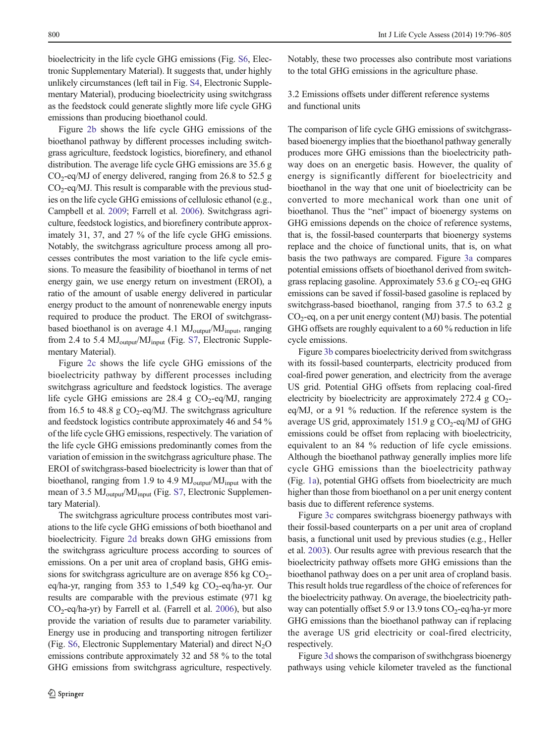bioelectricity in the life cycle GHG emissions (Fig. S6, Electronic Supplementary Material). It suggests that, under highly unlikely circumstances (left tail in Fig. S4, Electronic Supplementary Material), producing bioelectricity using switchgrass as the feedstock could generate slightly more life cycle GHG emissions than producing bioethanol could.

Figure [2b](#page-5-0) shows the life cycle GHG emissions of the bioethanol pathway by different processes including switchgrass agriculture, feedstock logistics, biorefinery, and ethanol distribution. The average life cycle GHG emissions are 35.6 g  $CO<sub>2</sub>$ -eq/MJ of energy delivered, ranging from 26.8 to 52.5 g  $CO<sub>2</sub>$ -eq/MJ. This result is comparable with the previous studies on the life cycle GHG emissions of cellulosic ethanol (e.g., Campbell et al. [2009;](#page-8-0) Farrell et al. [2006](#page-8-0)). Switchgrass agriculture, feedstock logistics, and biorefinery contribute approximately 31, 37, and 27 % of the life cycle GHG emissions. Notably, the switchgrass agriculture process among all processes contributes the most variation to the life cycle emissions. To measure the feasibility of bioethanol in terms of net energy gain, we use energy return on investment (EROI), a ratio of the amount of usable energy delivered in particular energy product to the amount of nonrenewable energy inputs required to produce the product. The EROI of switchgrassbased bioethanol is on average 4.1 MJ<sub>output</sub>/MJ<sub>input</sub>, ranging from 2.4 to 5.4  $MJ_{output}/MJ_{input}$  (Fig. S7, Electronic Supplementary Material).

Figure [2c](#page-5-0) shows the life cycle GHG emissions of the bioelectricity pathway by different processes including switchgrass agriculture and feedstock logistics. The average life cycle GHG emissions are 28.4 g  $CO_2$ -eq/MJ, ranging from 16.5 to 48.8 g  $CO_2$ -eq/MJ. The switchgrass agriculture and feedstock logistics contribute approximately 46 and 54 % of the life cycle GHG emissions, respectively. The variation of the life cycle GHG emissions predominantly comes from the variation of emission in the switchgrass agriculture phase. The EROI of switchgrass-based bioelectricity is lower than that of bioethanol, ranging from 1.9 to 4.9  $MJ_{output}/MJ_{input}$  with the mean of 3.5 MJ<sub>output</sub>/MJ<sub>input</sub> (Fig. S7, Electronic Supplementary Material).

The switchgrass agriculture process contributes most variations to the life cycle GHG emissions of both bioethanol and bioelectricity. Figure [2d](#page-5-0) breaks down GHG emissions from the switchgrass agriculture process according to sources of emissions. On a per unit area of cropland basis, GHG emissions for switchgrass agriculture are on average 856 kg  $CO<sub>2</sub>$ eq/ha-yr, ranging from 353 to 1,549 kg  $CO_2$ -eq/ha-yr. Our results are comparable with the previous estimate (971 kg CO2-eq/ha-yr) by Farrell et al. (Farrell et al. [2006\)](#page-8-0), but also provide the variation of results due to parameter variability. Energy use in producing and transporting nitrogen fertilizer (Fig. S6, Electronic Supplementary Material) and direct  $N_2O$ emissions contribute approximately 32 and 58 % to the total GHG emissions from switchgrass agriculture, respectively.

Notably, these two processes also contribute most variations to the total GHG emissions in the agriculture phase.

3.2 Emissions offsets under different reference systems and functional units

The comparison of life cycle GHG emissions of switchgrassbased bioenergy implies that the bioethanol pathway generally produces more GHG emissions than the bioelectricity pathway does on an energetic basis. However, the quality of energy is significantly different for bioelectricity and bioethanol in the way that one unit of bioelectricity can be converted to more mechanical work than one unit of bioethanol. Thus the "net" impact of bioenergy systems on GHG emissions depends on the choice of reference systems, that is, the fossil-based counterparts that bioenergy systems replace and the choice of functional units, that is, on what basis the two pathways are compared. Figure [3a](#page-6-0) compares potential emissions offsets of bioethanol derived from switchgrass replacing gasoline. Approximately 53.6 g  $CO<sub>2</sub>$ -eq GHG emissions can be saved if fossil-based gasoline is replaced by switchgrass-based bioethanol, ranging from 37.5 to 63.2 g  $CO<sub>2</sub>$ -eq, on a per unit energy content (MJ) basis. The potential GHG offsets are roughly equivalent to a 60 % reduction in life cycle emissions.

Figure [3b](#page-6-0) compares bioelectricity derived from switchgrass with its fossil-based counterparts, electricity produced from coal-fired power generation, and electricity from the average US grid. Potential GHG offsets from replacing coal-fired electricity by bioelectricity are approximately 272.4 g  $CO<sub>2</sub>$ eq/MJ, or a 91 % reduction. If the reference system is the average US grid, approximately 151.9 g  $CO<sub>2</sub>$ -eq/MJ of GHG emissions could be offset from replacing with bioelectricity, equivalent to an 84 % reduction of life cycle emissions. Although the bioethanol pathway generally implies more life cycle GHG emissions than the bioelectricity pathway (Fig. [1a](#page-2-0)), potential GHG offsets from bioelectricity are much higher than those from bioethanol on a per unit energy content basis due to different reference systems.

Figure [3c](#page-6-0) compares switchgrass bioenergy pathways with their fossil-based counterparts on a per unit area of cropland basis, a functional unit used by previous studies (e.g., Heller et al. [2003](#page-8-0)). Our results agree with previous research that the bioelectricity pathway offsets more GHG emissions than the bioethanol pathway does on a per unit area of cropland basis. This result holds true regardless of the choice of references for the bioelectricity pathway. On average, the bioelectricity pathway can potentially offset 5.9 or 13.9 tons  $CO_2$ -eq/ha-yr more GHG emissions than the bioethanol pathway can if replacing the average US grid electricity or coal-fired electricity, respectively.

Figure [3d](#page-6-0) shows the comparison of swithchgrass bioenergy pathways using vehicle kilometer traveled as the functional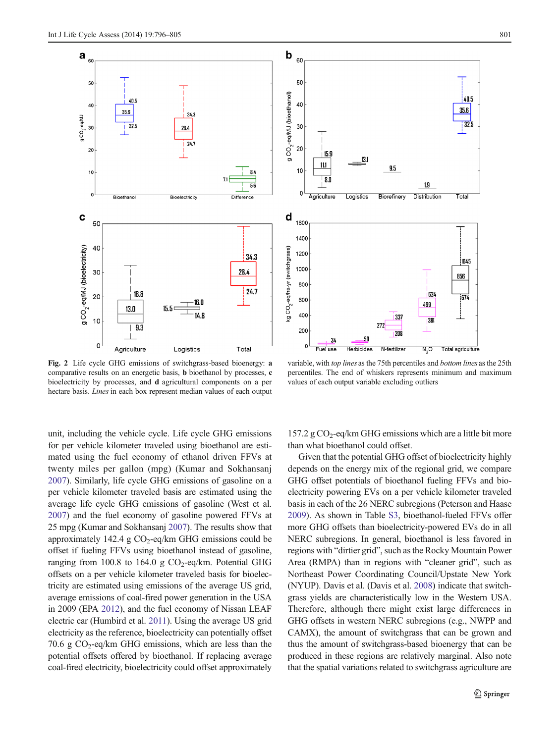<span id="page-5-0"></span>

Fig. 2 Life cycle GHG emissions of switchgrass-based bioenergy: a comparative results on an energetic basis, b bioethanol by processes, c bioelectricity by processes, and d agricultural components on a per hectare basis. Lines in each box represent median values of each output

unit, including the vehicle cycle. Life cycle GHG emissions for per vehicle kilometer traveled using bioethanol are estimated using the fuel economy of ethanol driven FFVs at twenty miles per gallon (mpg) (Kumar and Sokhansanj [2007\)](#page-9-0). Similarly, life cycle GHG emissions of gasoline on a per vehicle kilometer traveled basis are estimated using the average life cycle GHG emissions of gasoline (West et al. [2007\)](#page-9-0) and the fuel economy of gasoline powered FFVs at 25 mpg (Kumar and Sokhansanj [2007\)](#page-9-0). The results show that approximately 142.4 g  $CO<sub>2</sub>$ -eq/km GHG emissions could be offset if fueling FFVs using bioethanol instead of gasoline, ranging from 100.8 to 164.0 g  $CO_2$ -eq/km. Potential GHG offsets on a per vehicle kilometer traveled basis for bioelectricity are estimated using emissions of the average US grid, average emissions of coal-fired power generation in the USA in 2009 (EPA [2012](#page-8-0)), and the fuel economy of Nissan LEAF electric car (Humbird et al. [2011](#page-8-0)). Using the average US grid electricity as the reference, bioelectricity can potentially offset 70.6 g  $CO_2$ -eq/km GHG emissions, which are less than the potential offsets offered by bioethanol. If replacing average coal-fired electricity, bioelectricity could offset approximately



b 60

variable, with top lines as the 75th percentiles and bottom lines as the 25th percentiles. The end of whiskers represents minimum and maximum values of each output variable excluding outliers

157.2 g  $CO_2$ -eq/km GHG emissions which are a little bit more than what bioethanol could offset.

Given that the potential GHG offset of bioelectricity highly depends on the energy mix of the regional grid, we compare GHG offset potentials of bioethanol fueling FFVs and bioelectricity powering EVs on a per vehicle kilometer traveled basis in each of the 26 NERC subregions (Peterson and Haase [2009\)](#page-9-0). As shown in Table S3, bioethanol-fueled FFVs offer more GHG offsets than bioelectricity-powered EVs do in all NERC subregions. In general, bioethanol is less favored in regions with "dirtier grid", such as the Rocky Mountain Power Area (RMPA) than in regions with "cleaner grid", such as Northeast Power Coordinating Council/Upstate New York (NYUP). Davis et al. (Davis et al. [2008](#page-8-0)) indicate that switchgrass yields are characteristically low in the Western USA. Therefore, although there might exist large differences in GHG offsets in western NERC subregions (e.g., NWPP and CAMX), the amount of switchgrass that can be grown and thus the amount of switchgrass-based bioenergy that can be produced in these regions are relatively marginal. Also note that the spatial variations related to switchgrass agriculture are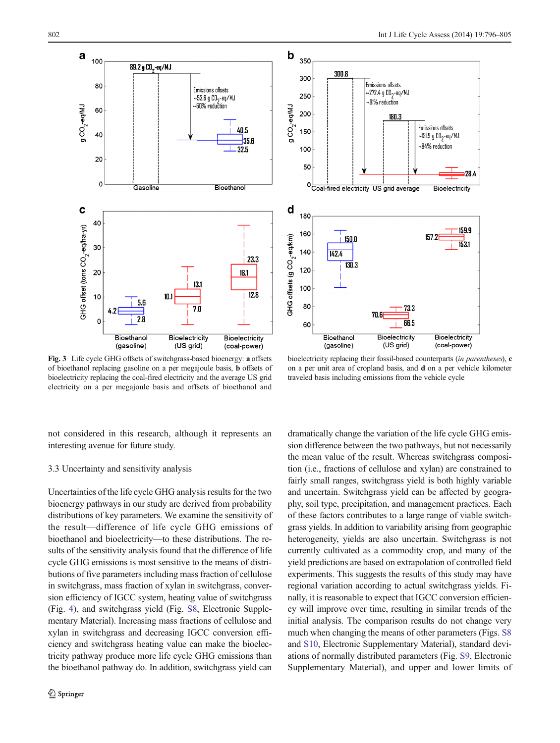<span id="page-6-0"></span>



Fig. 3 Life cycle GHG offsets of switchgrass-based bioenergy: a offsets of bioethanol replacing gasoline on a per megajoule basis, b offsets of bioelectricity replacing the coal-fired electricity and the average US grid electricity on a per megajoule basis and offsets of bioethanol and

bioelectricity replacing their fossil-based counterparts (in parentheses), c on a per unit area of cropland basis, and d on a per vehicle kilometer traveled basis including emissions from the vehicle cycle

not considered in this research, although it represents an interesting avenue for future study.

## 3.3 Uncertainty and sensitivity analysis

Uncertainties of the life cycle GHG analysis results for the two bioenergy pathways in our study are derived from probability distributions of key parameters. We examine the sensitivity of the result—difference of life cycle GHG emissions of bioethanol and bioelectricity—to these distributions. The results of the sensitivity analysis found that the difference of life cycle GHG emissions is most sensitive to the means of distributions of five parameters including mass fraction of cellulose in switchgrass, mass fraction of xylan in switchgrass, conversion efficiency of IGCC system, heating value of switchgrass (Fig. [4](#page-7-0)), and switchgrass yield (Fig. S8, Electronic Supplementary Material). Increasing mass fractions of cellulose and xylan in switchgrass and decreasing IGCC conversion efficiency and switchgrass heating value can make the bioelectricity pathway produce more life cycle GHG emissions than the bioethanol pathway do. In addition, switchgrass yield can

dramatically change the variation of the life cycle GHG emission difference between the two pathways, but not necessarily the mean value of the result. Whereas switchgrass composition (i.e., fractions of cellulose and xylan) are constrained to fairly small ranges, switchgrass yield is both highly variable and uncertain. Switchgrass yield can be affected by geography, soil type, precipitation, and management practices. Each of these factors contributes to a large range of viable switchgrass yields. In addition to variability arising from geographic heterogeneity, yields are also uncertain. Switchgrass is not currently cultivated as a commodity crop, and many of the yield predictions are based on extrapolation of controlled field experiments. This suggests the results of this study may have regional variation according to actual switchgrass yields. Finally, it is reasonable to expect that IGCC conversion efficiency will improve over time, resulting in similar trends of the initial analysis. The comparison results do not change very much when changing the means of other parameters (Figs. S8 and S10, Electronic Supplementary Material), standard deviations of normally distributed parameters (Fig. S9, Electronic Supplementary Material), and upper and lower limits of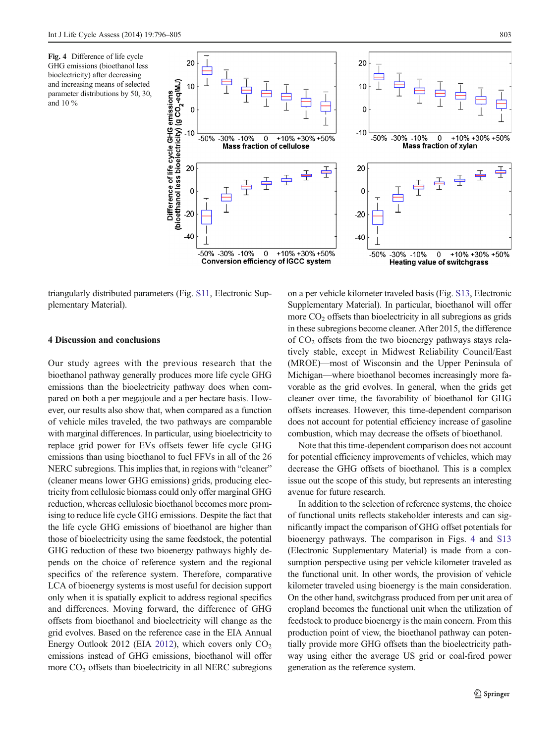<span id="page-7-0"></span>

triangularly distributed parameters (Fig. S11, Electronic Supplementary Material).

## 4 Discussion and conclusions

Our study agrees with the previous research that the bioethanol pathway generally produces more life cycle GHG emissions than the bioelectricity pathway does when compared on both a per megajoule and a per hectare basis. However, our results also show that, when compared as a function of vehicle miles traveled, the two pathways are comparable with marginal differences. In particular, using bioelectricity to replace grid power for EVs offsets fewer life cycle GHG emissions than using bioethanol to fuel FFVs in all of the 26 NERC subregions. This implies that, in regions with "cleaner" (cleaner means lower GHG emissions) grids, producing electricity from cellulosic biomass could only offer marginal GHG reduction, whereas cellulosic bioethanol becomes more promising to reduce life cycle GHG emissions. Despite the fact that the life cycle GHG emissions of bioethanol are higher than those of bioelectricity using the same feedstock, the potential GHG reduction of these two bioenergy pathways highly depends on the choice of reference system and the regional specifics of the reference system. Therefore, comparative LCA of bioenergy systems is most useful for decision support only when it is spatially explicit to address regional specifics and differences. Moving forward, the difference of GHG offsets from bioethanol and bioelectricity will change as the grid evolves. Based on the reference case in the EIA Annual Energy Outlook 2012 (EIA [2012\)](#page-8-0), which covers only  $CO<sub>2</sub>$ emissions instead of GHG emissions, bioethanol will offer more CO<sub>2</sub> offsets than bioelectricity in all NERC subregions on a per vehicle kilometer traveled basis (Fig. S13, Electronic Supplementary Material). In particular, bioethanol will offer more  $CO<sub>2</sub>$  offsets than bioelectricity in all subregions as grids in these subregions become cleaner. After 2015, the difference of  $CO<sub>2</sub>$  offsets from the two bioenergy pathways stays relatively stable, except in Midwest Reliability Council/East (MROE)—most of Wisconsin and the Upper Peninsula of Michigan—where bioethanol becomes increasingly more favorable as the grid evolves. In general, when the grids get cleaner over time, the favorability of bioethanol for GHG offsets increases. However, this time-dependent comparison does not account for potential efficiency increase of gasoline combustion, which may decrease the offsets of bioethanol.

Note that this time-dependent comparison does not account for potential efficiency improvements of vehicles, which may decrease the GHG offsets of bioethanol. This is a complex issue out the scope of this study, but represents an interesting avenue for future research.

In addition to the selection of reference systems, the choice of functional units reflects stakeholder interests and can significantly impact the comparison of GHG offset potentials for bioenergy pathways. The comparison in Figs. 4 and S13 (Electronic Supplementary Material) is made from a consumption perspective using per vehicle kilometer traveled as the functional unit. In other words, the provision of vehicle kilometer traveled using bioenergy is the main consideration. On the other hand, switchgrass produced from per unit area of cropland becomes the functional unit when the utilization of feedstock to produce bioenergy is the main concern. From this production point of view, the bioethanol pathway can potentially provide more GHG offsets than the bioelectricity pathway using either the average US grid or coal-fired power generation as the reference system.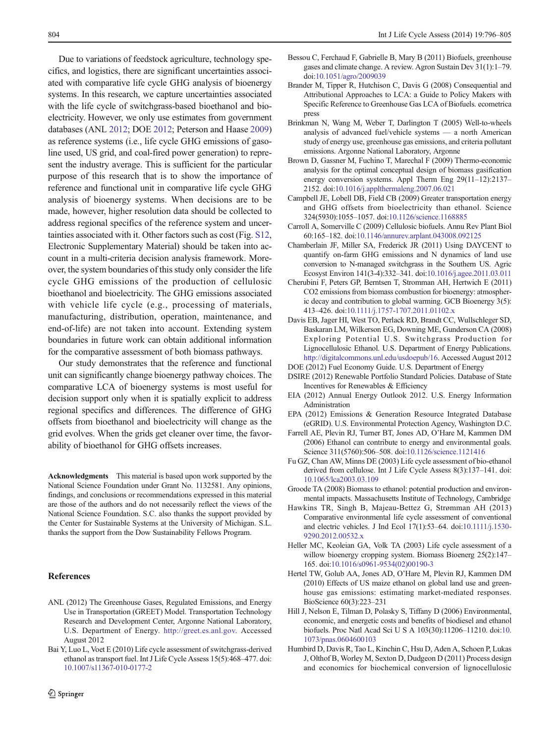<span id="page-8-0"></span>Due to variations of feedstock agriculture, technology specifics, and logistics, there are significant uncertainties associated with comparative life cycle GHG analysis of bioenergy systems. In this research, we capture uncertainties associated with the life cycle of switchgrass-based bioethanol and bioelectricity. However, we only use estimates from government databases (ANL 2012; DOE 2012; Peterson and Haase [2009\)](#page-9-0) as reference systems (i.e., life cycle GHG emissions of gasoline used, US grid, and coal-fired power generation) to represent the industry average. This is sufficient for the particular purpose of this research that is to show the importance of reference and functional unit in comparative life cycle GHG analysis of bioenergy systems. When decisions are to be made, however, higher resolution data should be collected to address regional specifics of the reference system and uncertainties associated with it. Other factors such as cost (Fig. S12, Electronic Supplementary Material) should be taken into account in a multi-criteria decision analysis framework. Moreover, the system boundaries of this study only consider the life cycle GHG emissions of the production of cellulosic bioethanol and bioelectricity. The GHG emissions associated with vehicle life cycle (e.g., processing of materials, manufacturing, distribution, operation, maintenance, and end-of-life) are not taken into account. Extending system boundaries in future work can obtain additional information for the comparative assessment of both biomass pathways.

Our study demonstrates that the reference and functional unit can significantly change bioenergy pathway choices. The comparative LCA of bioenergy systems is most useful for decision support only when it is spatially explicit to address regional specifics and differences. The difference of GHG offsets from bioethanol and bioelectricity will change as the grid evolves. When the grids get cleaner over time, the favorability of bioethanol for GHG offsets increases.

Acknowledgments This material is based upon work supported by the National Science Foundation under Grant No. 1132581. Any opinions, findings, and conclusions or recommendations expressed in this material are those of the authors and do not necessarily reflect the views of the National Science Foundation. S.C. also thanks the support provided by the Center for Sustainable Systems at the University of Michigan. S.L. thanks the support from the Dow Sustainability Fellows Program.

## References

- ANL (2012) The Greenhouse Gases, Regulated Emissions, and Energy Use in Transportation (GREET) Model. Transportation Technology Research and Development Center, Argonne National Laboratory, U.S. Department of Energy. [http://greet.es.anl.gov.](http://greet.es.anl.gov/) Accessed August 2012
- Bai Y, Luo L, Voet E (2010) Life cycle assessment of switchgrass-derived ethanol as transport fuel. Int J Life Cycle Assess 15(5):468–477. doi: [10.1007/s11367-010-0177-2](http://dx.doi.org/10.1007/s11367-010-0177-2)
- Bessou C, Ferchaud F, Gabrielle B, Mary B (2011) Biofuels, greenhouse gases and climate change. A review. Agron Sustain Dev 31(1):1–79. doi:[10.1051/agro/2009039](http://dx.doi.org/10.1051/agro/2009039)
- Brander M, Tipper R, Hutchison C, Davis G (2008) Consequential and Attributional Approaches to LCA: a Guide to Policy Makers with Specific Reference to Greenhouse Gas LCA of Biofuels. ecometrica press
- Brinkman N, Wang M, Weber T, Darlington T (2005) Well-to-wheels analysis of advanced fuel/vehicle systems — a north American study of energy use, greenhouse gas emissions, and criteria pollutant emissions. Argonne National Laboratory, Argonne
- Brown D, Gassner M, Fuchino T, Marechal F (2009) Thermo-economic analysis for the optimal conceptual design of biomass gasification energy conversion systems. Appl Therm Eng 29(11–12):2137– 2152. doi:[10.1016/j.applthermaleng.2007.06.021](http://dx.doi.org/10.1016/j.applthermaleng.2007.06.021)
- Campbell JE, Lobell DB, Field CB (2009) Greater transportation energy and GHG offsets from bioelectricity than ethanol. Science 324(5930):1055–1057. doi:[10.1126/science.1168885](http://dx.doi.org/10.1126/science.1168885)
- Carroll A, Somerville C (2009) Cellulosic biofuels. Annu Rev Plant Biol 60:165–182. doi[:10.1146/annurev.arplant.043008.092125](http://dx.doi.org/10.1146/annurev.arplant.043008.092125)
- Chamberlain JF, Miller SA, Frederick JR (2011) Using DAYCENT to quantify on-farm GHG emissions and N dynamics of land use conversion to N-managed switchgrass in the Southern US. Agric Ecosyst Environ 141(3-4):332–341. doi[:10.1016/j.agee.2011.03.011](http://dx.doi.org/10.1016/j.agee.2011.03.011)
- Cherubini F, Peters GP, Berntsen T, Stromman AH, Hertwich E (2011) CO2 emissions from biomass combustion for bioenergy: atmospheric decay and contribution to global warming. GCB Bioenergy 3(5): 413–426. doi[:10.1111/j.1757-1707.2011.01102.x](http://dx.doi.org/10.1111/j.1757-1707.2011.01102.x)
- Davis EB, Jager HI, West TO, Perlack RD, Brandt CC, Wullschleger SD, Baskaran LM, Wilkerson EG, Downing ME, Gunderson CA (2008) Exploring Potential U.S. Switchgrass Production for Lignocellulosic Ethanol. U.S. Department of Energy Publications. [http://digitalcommons.unl.edu/usdoepub/16.](http://digitalcommons.unl.edu/usdoepub/16) Accessed August 2012 DOE (2012) Fuel Economy Guide. U.S. Department of Energy
- DSIRE (2012) Renewable Portfolio Standard Policies. Database of State Incentives for Renewables & Efficiency
- EIA (2012) Annual Energy Outlook 2012. U.S. Energy Information Administration
- EPA (2012) Emissions & Generation Resource Integrated Database (eGRID). U.S. Environmental Protection Agency, Washington D.C.
- Farrell AE, Plevin RJ, Turner BT, Jones AD, O'Hare M, Kammen DM (2006) Ethanol can contribute to energy and environmental goals. Science 311(5760):506–508. doi:[10.1126/science.1121416](http://dx.doi.org/10.1126/science.1121416)
- Fu GZ, Chan AW, Minns DE (2003) Life cycle assessment of bio-ethanol derived from cellulose. Int J Life Cycle Assess 8(3):137–141. doi: [10.1065/lca2003.03.109](http://dx.doi.org/10.1065/lca2003.03.109)
- Groode TA (2008) Biomass to ethanol: potential production and environmental impacts. Massachusetts Institute of Technology, Cambridge
- Hawkins TR, Singh B, Majeau-Bettez G, Strømman AH (2013) Comparative environmental life cycle assessment of conventional and electric vehicles. J Ind Ecol 17(1):53–64. doi:[10.1111/j.1530-](http://dx.doi.org/10.1111/j.1530-9290.2012.00532.x) [9290.2012.00532.x](http://dx.doi.org/10.1111/j.1530-9290.2012.00532.x)
- Heller MC, Keoleian GA, Volk TA (2003) Life cycle assessment of a willow bioenergy cropping system. Biomass Bioenerg 25(2):147– 165. doi[:10.1016/s0961-9534\(02\)00190-3](http://dx.doi.org/10.1016/s0961-9534(02)00190-3)
- Hertel TW, Golub AA, Jones AD, O'Hare M, Plevin RJ, Kammen DM (2010) Effects of US maize ethanol on global land use and greenhouse gas emissions: estimating market-mediated responses. BioScience 60(3):223–231
- Hill J, Nelson E, Tilman D, Polasky S, Tiffany D (2006) Environmental, economic, and energetic costs and benefits of biodiesel and ethanol biofuels. Proc Natl Acad Sci U S A 103(30):11206–11210. doi[:10.](http://dx.doi.org/10.1073/pnas.0604600103) [1073/pnas.0604600103](http://dx.doi.org/10.1073/pnas.0604600103)
- Humbird D, Davis R, Tao L, Kinchin C, Hsu D, Aden A, Schoen P, Lukas J, Olthof B, Worley M, Sexton D, Dudgeon D (2011) Process design and economics for biochemical conversion of lignocellulosic